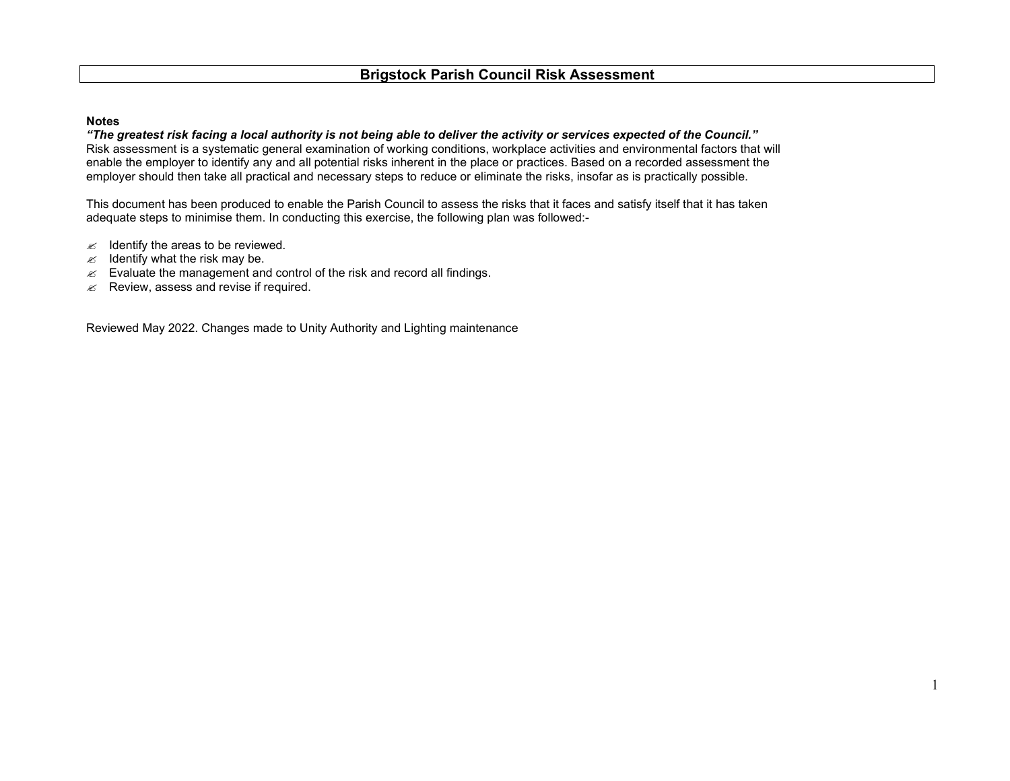## **Notes**

"The greatest risk facing a local authority is not being able to deliver the activity or services expected of the Council." Risk assessment is a systematic general examination of working conditions, workplace activities and environmental factors that will enable the employer to identify any and all potential risks inherent in the place or practices. Based on a recorded assessment the employer should then take all practical and necessary steps to reduce or eliminate the risks, insofar as is practically possible.

This document has been produced to enable the Parish Council to assess the risks that it faces and satisfy itself that it has taken adequate steps to minimise them. In conducting this exercise, the following plan was followed:-

- $\mathscr{\mathscr{E}}$  Identify the areas to be reviewed.
- $\mathscr{\mathscr{A}}$  Identify what the risk may be.
- $\mathbb Z$  Evaluate the management and control of the risk and record all findings.
- $\mathscr{L}$  Review, assess and revise if required.

Reviewed May 2022. Changes made to Unity Authority and Lighting maintenance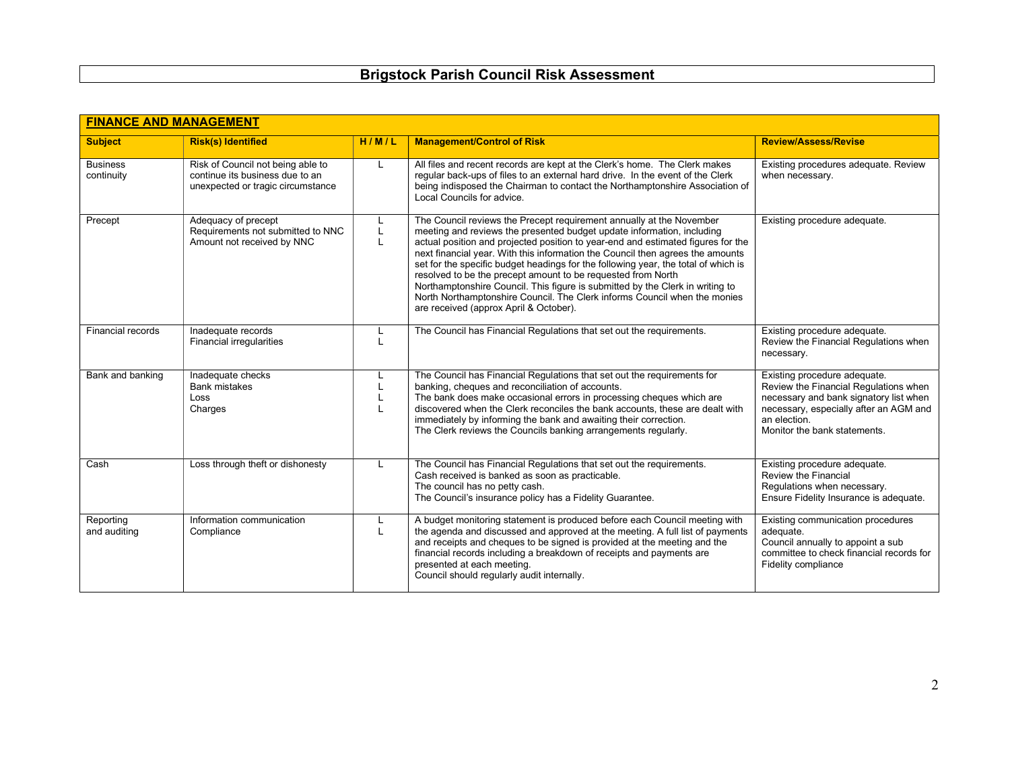|  |  |  |  | <b>Brigstock Parish Council Risk Assessment</b> |
|--|--|--|--|-------------------------------------------------|
|--|--|--|--|-------------------------------------------------|

| <b>FINANCE AND MANAGEMENT</b> |                                                                                                           |             |                                                                                                                                                                                                                                                                                                                                                                                                                                                                                                                                                                                                                                                                                    |                                                                                                                                                                                                           |  |  |
|-------------------------------|-----------------------------------------------------------------------------------------------------------|-------------|------------------------------------------------------------------------------------------------------------------------------------------------------------------------------------------------------------------------------------------------------------------------------------------------------------------------------------------------------------------------------------------------------------------------------------------------------------------------------------------------------------------------------------------------------------------------------------------------------------------------------------------------------------------------------------|-----------------------------------------------------------------------------------------------------------------------------------------------------------------------------------------------------------|--|--|
| <b>Subject</b>                | <b>Risk(s) Identified</b>                                                                                 | H/M/L       | <b>Management/Control of Risk</b>                                                                                                                                                                                                                                                                                                                                                                                                                                                                                                                                                                                                                                                  | <b>Review/Assess/Revise</b>                                                                                                                                                                               |  |  |
| <b>Business</b><br>continuity | Risk of Council not being able to<br>continue its business due to an<br>unexpected or tragic circumstance | L           | All files and recent records are kept at the Clerk's home. The Clerk makes<br>regular back-ups of files to an external hard drive. In the event of the Clerk<br>being indisposed the Chairman to contact the Northamptonshire Association of<br>Local Councils for advice.                                                                                                                                                                                                                                                                                                                                                                                                         | Existing procedures adequate. Review<br>when necessary.                                                                                                                                                   |  |  |
| Precept                       | Adequacy of precept<br>Requirements not submitted to NNC<br>Amount not received by NNC                    | L<br>L<br>L | The Council reviews the Precept requirement annually at the November<br>meeting and reviews the presented budget update information, including<br>actual position and projected position to year-end and estimated figures for the<br>next financial year. With this information the Council then agrees the amounts<br>set for the specific budget headings for the following year, the total of which is<br>resolved to be the precept amount to be requested from North<br>Northamptonshire Council. This figure is submitted by the Clerk in writing to<br>North Northamptonshire Council. The Clerk informs Council when the monies<br>are received (approx April & October). | Existing procedure adequate.                                                                                                                                                                              |  |  |
| Financial records             | Inadequate records<br><b>Financial irregularities</b>                                                     | L           | The Council has Financial Regulations that set out the requirements.                                                                                                                                                                                                                                                                                                                                                                                                                                                                                                                                                                                                               | Existing procedure adequate.<br>Review the Financial Regulations when<br>necessary.                                                                                                                       |  |  |
| Bank and banking              | Inadequate checks<br><b>Bank mistakes</b><br>Loss<br>Charges                                              | L           | The Council has Financial Regulations that set out the requirements for<br>banking, cheques and reconciliation of accounts.<br>The bank does make occasional errors in processing cheques which are<br>discovered when the Clerk reconciles the bank accounts, these are dealt with<br>immediately by informing the bank and awaiting their correction.<br>The Clerk reviews the Councils banking arrangements regularly.                                                                                                                                                                                                                                                          | Existing procedure adequate.<br>Review the Financial Regulations when<br>necessary and bank signatory list when<br>necessary, especially after an AGM and<br>an election.<br>Monitor the bank statements. |  |  |
| Cash                          | Loss through theft or dishonesty                                                                          | L           | The Council has Financial Regulations that set out the requirements.<br>Cash received is banked as soon as practicable.<br>The council has no petty cash.<br>The Council's insurance policy has a Fidelity Guarantee.                                                                                                                                                                                                                                                                                                                                                                                                                                                              | Existing procedure adequate.<br>Review the Financial<br>Regulations when necessary.<br>Ensure Fidelity Insurance is adequate.                                                                             |  |  |
| Reporting<br>and auditing     | Information communication<br>Compliance                                                                   | L<br>L      | A budget monitoring statement is produced before each Council meeting with<br>the agenda and discussed and approved at the meeting. A full list of payments<br>and receipts and cheques to be signed is provided at the meeting and the<br>financial records including a breakdown of receipts and payments are<br>presented at each meeting.<br>Council should regularly audit internally.                                                                                                                                                                                                                                                                                        | Existing communication procedures<br>adequate.<br>Council annually to appoint a sub<br>committee to check financial records for<br>Fidelity compliance                                                    |  |  |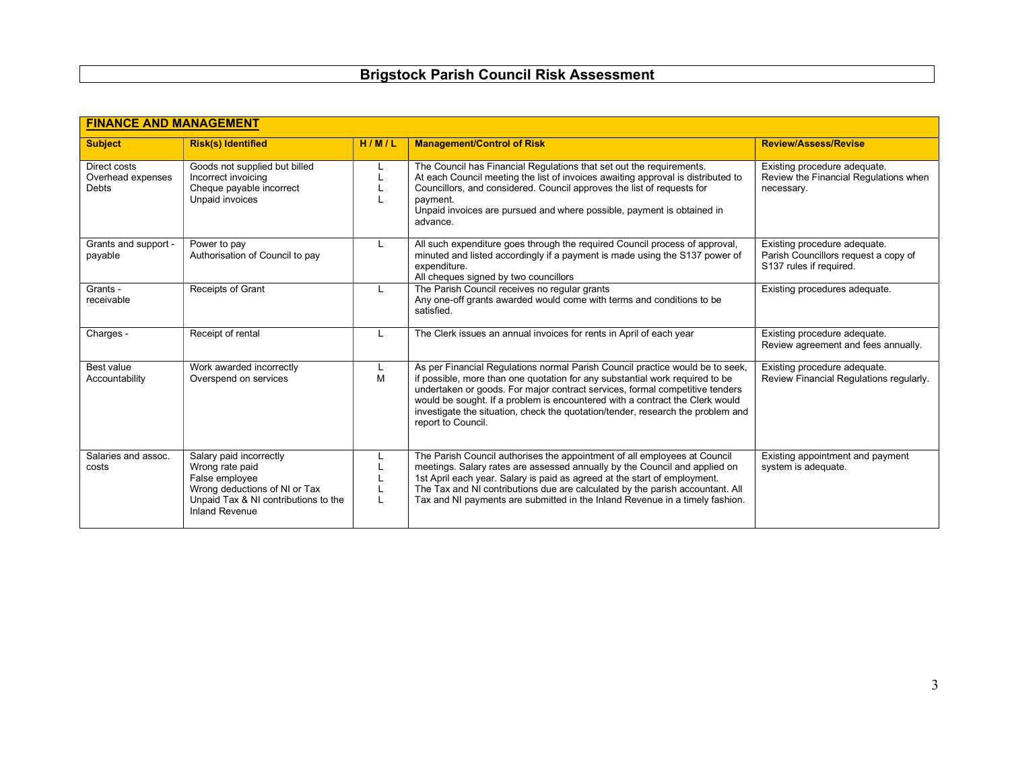| <b>FINANCE AND MANAGEMENT</b>                     |                                                                                                                                                                |       |                                                                                                                                                                                                                                                                                                                                                                                                                                        |                                                                                                 |  |
|---------------------------------------------------|----------------------------------------------------------------------------------------------------------------------------------------------------------------|-------|----------------------------------------------------------------------------------------------------------------------------------------------------------------------------------------------------------------------------------------------------------------------------------------------------------------------------------------------------------------------------------------------------------------------------------------|-------------------------------------------------------------------------------------------------|--|
| <b>Subject</b>                                    | <b>Risk(s) Identified</b>                                                                                                                                      | H/M/L | <b>Management/Control of Risk</b>                                                                                                                                                                                                                                                                                                                                                                                                      | <b>Review/Assess/Revise</b>                                                                     |  |
| Direct costs<br>Overhead expenses<br><b>Debts</b> | Goods not supplied but billed<br>Incorrect invoicing<br>Cheque payable incorrect<br>Unpaid invoices                                                            |       | The Council has Financial Regulations that set out the requirements.<br>At each Council meeting the list of invoices awaiting approval is distributed to<br>Councillors, and considered. Council approves the list of requests for<br>payment.<br>Unpaid invoices are pursued and where possible, payment is obtained in<br>advance.                                                                                                   | Existing procedure adequate.<br>Review the Financial Regulations when<br>necessary.             |  |
| Grants and support -<br>payable                   | Power to pay<br>Authorisation of Council to pay                                                                                                                | L     | All such expenditure goes through the required Council process of approval,<br>minuted and listed accordingly if a payment is made using the S137 power of<br>expenditure.<br>All cheques signed by two councillors                                                                                                                                                                                                                    | Existing procedure adequate.<br>Parish Councillors request a copy of<br>S137 rules if required. |  |
| Grants -<br>receivable                            | Receipts of Grant                                                                                                                                              |       | The Parish Council receives no regular grants<br>Any one-off grants awarded would come with terms and conditions to be<br>satisfied.                                                                                                                                                                                                                                                                                                   | Existing procedures adequate.                                                                   |  |
| Charges -                                         | Receipt of rental                                                                                                                                              | L     | The Clerk issues an annual invoices for rents in April of each year                                                                                                                                                                                                                                                                                                                                                                    | Existing procedure adequate.<br>Review agreement and fees annually.                             |  |
| Best value<br>Accountability                      | Work awarded incorrectly<br>Overspend on services                                                                                                              | M     | As per Financial Regulations normal Parish Council practice would be to seek,<br>if possible, more than one quotation for any substantial work required to be<br>undertaken or goods. For major contract services, formal competitive tenders<br>would be sought. If a problem is encountered with a contract the Clerk would<br>investigate the situation, check the quotation/tender, research the problem and<br>report to Council. | Existing procedure adequate.<br>Review Financial Regulations regularly.                         |  |
| Salaries and assoc.<br>costs                      | Salary paid incorrectly<br>Wrong rate paid<br>False employee<br>Wrong deductions of NI or Tax<br>Unpaid Tax & NI contributions to the<br><b>Inland Revenue</b> |       | The Parish Council authorises the appointment of all employees at Council<br>meetings. Salary rates are assessed annually by the Council and applied on<br>1st April each year. Salary is paid as agreed at the start of employment.<br>The Tax and NI contributions due are calculated by the parish accountant. All<br>Tax and NI payments are submitted in the Inland Revenue in a timely fashion.                                  | Existing appointment and payment<br>system is adequate.                                         |  |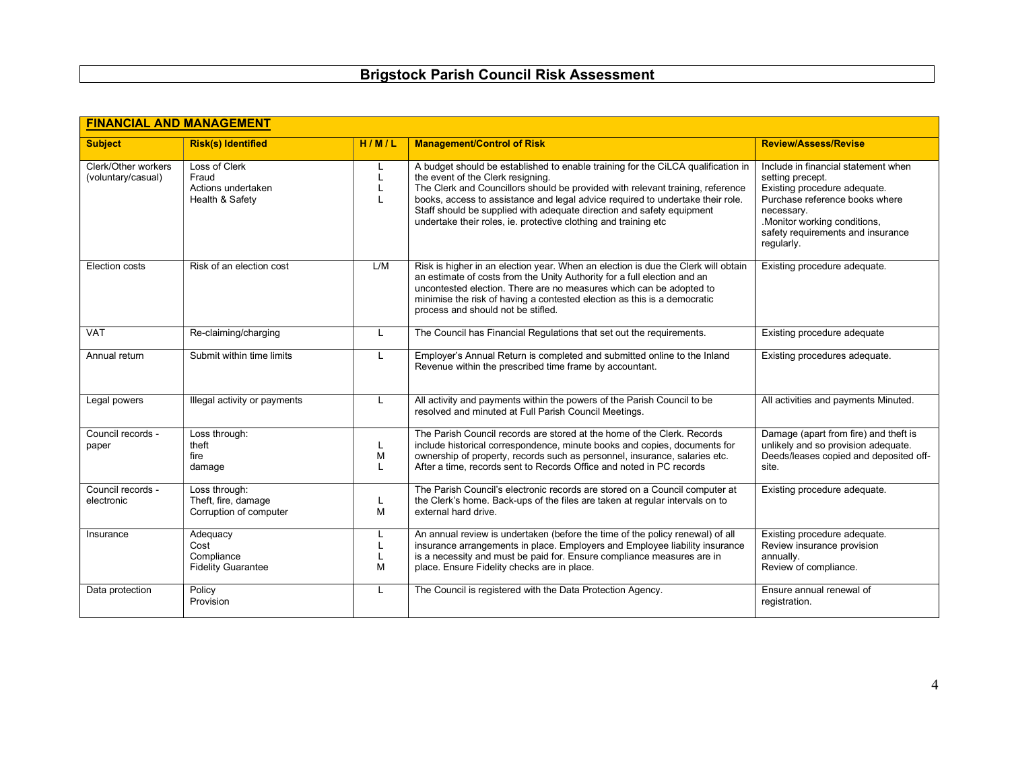| <b>FINANCIAL AND MANAGEMENT</b>           |                                                                 |                   |                                                                                                                                                                                                                                                                                                                                                                                                                                       |                                                                                                                                                                                                                            |  |
|-------------------------------------------|-----------------------------------------------------------------|-------------------|---------------------------------------------------------------------------------------------------------------------------------------------------------------------------------------------------------------------------------------------------------------------------------------------------------------------------------------------------------------------------------------------------------------------------------------|----------------------------------------------------------------------------------------------------------------------------------------------------------------------------------------------------------------------------|--|
| <b>Subject</b>                            | <b>Risk(s) Identified</b>                                       | H/M/L             | <b>Management/Control of Risk</b>                                                                                                                                                                                                                                                                                                                                                                                                     | <b>Review/Assess/Revise</b>                                                                                                                                                                                                |  |
| Clerk/Other workers<br>(voluntary/casual) | Loss of Clerk<br>Fraud<br>Actions undertaken<br>Health & Safety | L<br>$\mathbf{I}$ | A budget should be established to enable training for the CiLCA qualification in<br>the event of the Clerk resigning.<br>The Clerk and Councillors should be provided with relevant training, reference<br>books, access to assistance and legal advice required to undertake their role.<br>Staff should be supplied with adequate direction and safety equipment<br>undertake their roles, ie. protective clothing and training etc | Include in financial statement when<br>setting precept.<br>Existing procedure adequate.<br>Purchase reference books where<br>necessary.<br>.Monitor working conditions,<br>safety requirements and insurance<br>regularly. |  |
| Election costs                            | Risk of an election cost                                        | L/M               | Risk is higher in an election year. When an election is due the Clerk will obtain<br>an estimate of costs from the Unity Authority for a full election and an<br>uncontested election. There are no measures which can be adopted to<br>minimise the risk of having a contested election as this is a democratic<br>process and should not be stifled.                                                                                | Existing procedure adequate.                                                                                                                                                                                               |  |
| <b>VAT</b>                                | Re-claiming/charging                                            | L                 | The Council has Financial Regulations that set out the requirements.                                                                                                                                                                                                                                                                                                                                                                  | Existing procedure adequate                                                                                                                                                                                                |  |
| Annual return                             | Submit within time limits                                       | L                 | Employer's Annual Return is completed and submitted online to the Inland<br>Revenue within the prescribed time frame by accountant.                                                                                                                                                                                                                                                                                                   | Existing procedures adequate.                                                                                                                                                                                              |  |
| Legal powers                              | Illegal activity or payments                                    | L                 | All activity and payments within the powers of the Parish Council to be<br>resolved and minuted at Full Parish Council Meetings.                                                                                                                                                                                                                                                                                                      | All activities and payments Minuted.                                                                                                                                                                                       |  |
| Council records -<br>paper                | Loss through:<br>theft<br>fire<br>damage                        | L<br>M<br>L       | The Parish Council records are stored at the home of the Clerk. Records<br>include historical correspondence, minute books and copies, documents for<br>ownership of property, records such as personnel, insurance, salaries etc.<br>After a time, records sent to Records Office and noted in PC records                                                                                                                            | Damage (apart from fire) and theft is<br>unlikely and so provision adequate.<br>Deeds/leases copied and deposited off-<br>site.                                                                                            |  |
| Council records -<br>electronic           | Loss through:<br>Theft, fire, damage<br>Corruption of computer  | L<br>M            | The Parish Council's electronic records are stored on a Council computer at<br>the Clerk's home. Back-ups of the files are taken at regular intervals on to<br>external hard drive.                                                                                                                                                                                                                                                   | Existing procedure adequate.                                                                                                                                                                                               |  |
| Insurance                                 | Adequacy<br>Cost<br>Compliance<br><b>Fidelity Guarantee</b>     | L<br>M            | An annual review is undertaken (before the time of the policy renewal) of all<br>insurance arrangements in place. Employers and Employee liability insurance<br>is a necessity and must be paid for. Ensure compliance measures are in<br>place. Ensure Fidelity checks are in place.                                                                                                                                                 | Existing procedure adequate.<br>Review insurance provision<br>annually.<br>Review of compliance.                                                                                                                           |  |
| Data protection                           | Policy<br>Provision                                             | L                 | The Council is registered with the Data Protection Agency.                                                                                                                                                                                                                                                                                                                                                                            | Ensure annual renewal of<br>registration.                                                                                                                                                                                  |  |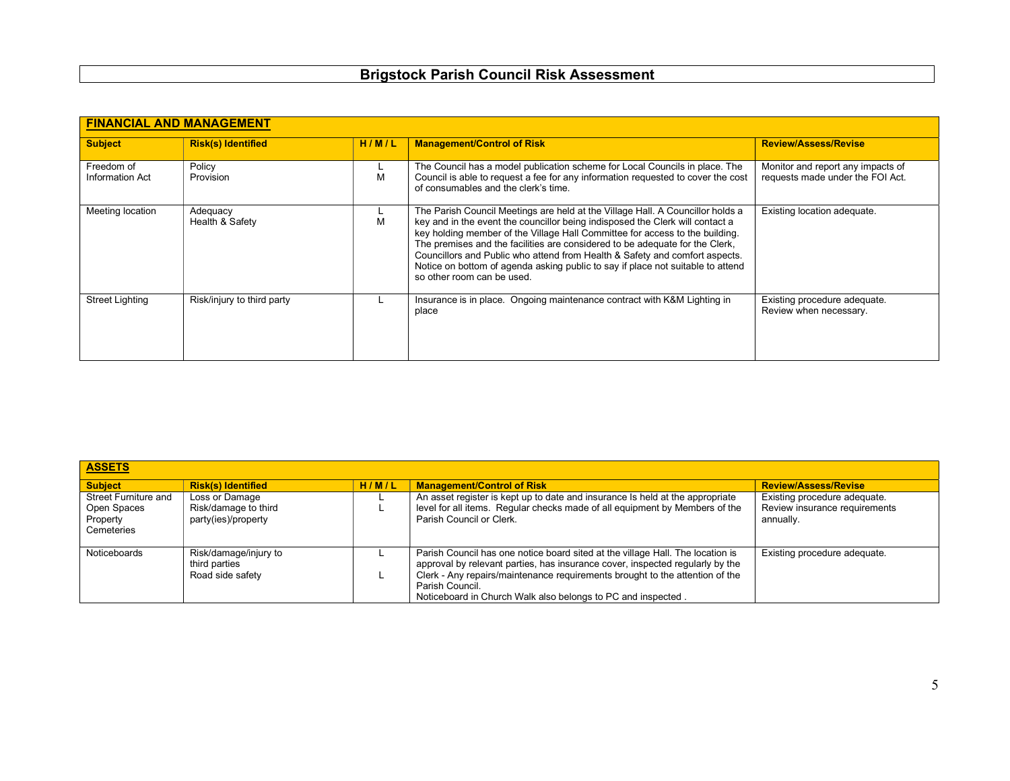| <b>FINANCIAL AND MANAGEMENT</b> |                             |       |                                                                                                                                                                                                                                                                                                                                                                                                                                                                                                                                 |                                                                       |  |
|---------------------------------|-----------------------------|-------|---------------------------------------------------------------------------------------------------------------------------------------------------------------------------------------------------------------------------------------------------------------------------------------------------------------------------------------------------------------------------------------------------------------------------------------------------------------------------------------------------------------------------------|-----------------------------------------------------------------------|--|
| <b>Subject</b>                  | <b>Risk(s) Identified</b>   | H/M/L | <b>Management/Control of Risk</b>                                                                                                                                                                                                                                                                                                                                                                                                                                                                                               | <b>Review/Assess/Revise</b>                                           |  |
| Freedom of<br>Information Act   | Policy<br>Provision         | М     | The Council has a model publication scheme for Local Councils in place. The<br>Council is able to request a fee for any information requested to cover the cost<br>of consumables and the clerk's time.                                                                                                                                                                                                                                                                                                                         | Monitor and report any impacts of<br>requests made under the FOI Act. |  |
| Meeting location                | Adequacy<br>Health & Safety | м     | The Parish Council Meetings are held at the Village Hall. A Councillor holds a<br>key and in the event the councillor being indisposed the Clerk will contact a<br>key holding member of the Village Hall Committee for access to the building.<br>The premises and the facilities are considered to be adequate for the Clerk,<br>Councillors and Public who attend from Health & Safety and comfort aspects.<br>Notice on bottom of agenda asking public to say if place not suitable to attend<br>so other room can be used. | Existing location adequate.                                           |  |
| <b>Street Lighting</b>          | Risk/injury to third party  |       | Insurance is in place. Ongoing maintenance contract with K&M Lighting in<br>place                                                                                                                                                                                                                                                                                                                                                                                                                                               | Existing procedure adequate.<br>Review when necessary.                |  |

| <b>ASSETS</b>                                                 |                                                               |       |                                                                                                                                                                                                                                                                                                                                    |                                                                            |  |
|---------------------------------------------------------------|---------------------------------------------------------------|-------|------------------------------------------------------------------------------------------------------------------------------------------------------------------------------------------------------------------------------------------------------------------------------------------------------------------------------------|----------------------------------------------------------------------------|--|
| <b>Subject</b>                                                | <b>Risk(s) Identified</b>                                     | H/M/L | <b>Management/Control of Risk</b>                                                                                                                                                                                                                                                                                                  | <b>Review/Assess/Revise</b>                                                |  |
| Street Furniture and<br>Open Spaces<br>Property<br>Cemeteries | Loss or Damage<br>Risk/damage to third<br>party(ies)/property |       | An asset register is kept up to date and insurance Is held at the appropriate<br>level for all items. Regular checks made of all equipment by Members of the<br>Parish Council or Clerk.                                                                                                                                           | Existing procedure adequate.<br>Review insurance requirements<br>annually. |  |
| Noticeboards                                                  | Risk/damage/injury to<br>third parties<br>Road side safety    |       | Parish Council has one notice board sited at the village Hall. The location is<br>approval by relevant parties, has insurance cover, inspected regularly by the<br>Clerk - Any repairs/maintenance requirements brought to the attention of the<br>Parish Council.<br>Noticeboard in Church Walk also belongs to PC and inspected. | Existing procedure adequate.                                               |  |